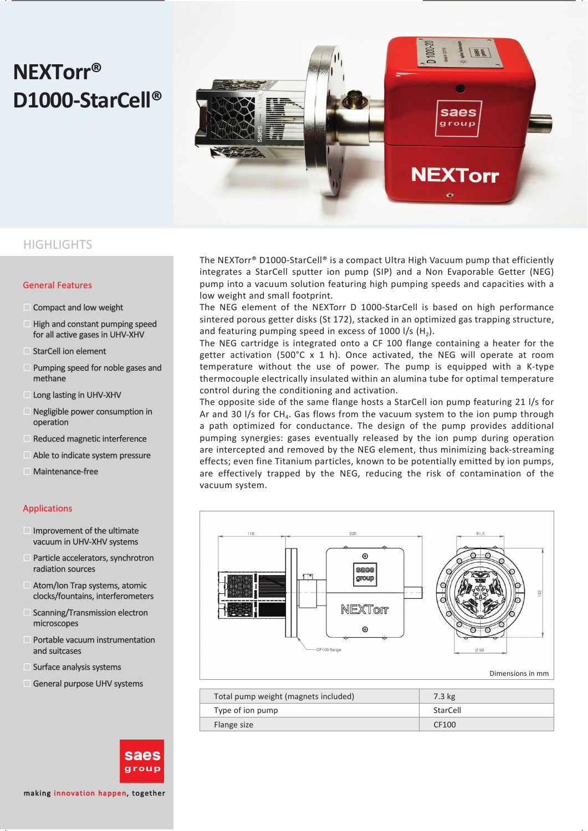# **NEXTorr® D1000-StarCell®**



#### **HIGHLIGHTS**

#### General Features

- Compact and low weight
- **High and constant pumping speed** for all active gases in UHV-XHV
- $\blacksquare$  StarCell ion element
- **Pumping speed for noble gases and** methane
- **Long lasting in UHV-XHV**
- **Negligible power consumption in** operation
- $\blacksquare$  Reduced magnetic interference
- $\blacksquare$  Able to indicate system pressure
- **Maintenance-free**

#### Applications

- $\blacksquare$  Improvement of the ultimate vacuum in UHV-XHV systems
- **Particle accelerators, synchrotron** radiation sources radiation
- $\blacksquare$  Atom/Ion Trap systems, atomic clocks/fountains, interferometers
- $\blacksquare$  Scanning/Transmission electron microscopes
- **Portable vacuum instrumentation** and suitcases and
- **Surface analysis systems**
- General purpose UHV systems



making innovation happen, together

The NEXTorr® D1000-StarCell® is a compact Ultra High Vacuum pump that efficiently integrates a StarCell sputter ion pump (SIP) and a Non Evaporable Getter (NEG) pump into a vacuum solution featuring high pumping speeds and capacities with a low weight and small footprint.

The NEG element of the NEXTorr D 1000-StarCell is based on high performance sintered porous getter disks (St 172), stacked in an optimized gas trapping structure, and featuring pumping speed in excess of 1000  $1/s$  (H<sub>2</sub>).

The NEG cartridge is integrated onto a CF 100 flange containing a heater for the getter activation (500°C x 1 h). Once activated, the NEG will operate at room temperature without the use of power. The pump is equipped with a K-type thermocouple electrically insulated within an alumina tube for optimal temperature control during the conditioning and activation.

The opposite side of the same flange hosts a StarCell ion pump featuring 21 l/s for Ar and 30  $1/s$  for CH<sub>4</sub>. Gas flows from the vacuum system to the ion pump through a path optimized for conductance. The design of the pump provides additional pumping synergies: gases eventually released by the ion pump during operation are intercepted and removed by the NEG element, thus minimizing back-streaming effects; even fine Titanium particles, known to be potentially emitted by ion pumps, are effectively trapped by the NEG, reducing the risk of contamination of the vacuum system.



Dimensions in mm

| Total pump weight (magnets included) | 7.3 kg   |
|--------------------------------------|----------|
| Type of ion pump                     | StarCell |
| Flange size                          | CF100    |